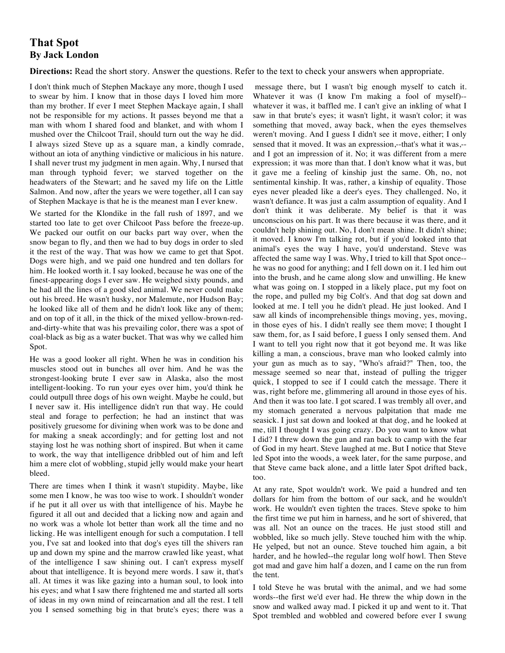## **That Spot By Jack London**

**Directions:** Read the short story. Answer the questions. Refer to the text to check your answers when appropriate.

I don't think much of Stephen Mackaye any more, though I used to swear by him. I know that in those days I loved him more than my brother. If ever I meet Stephen Mackaye again, I shall not be responsible for my actions. It passes beyond me that a man with whom I shared food and blanket, and with whom I mushed over the Chilcoot Trail, should turn out the way he did. I always sized Steve up as a square man, a kindly comrade, without an iota of anything vindictive or malicious in his nature. I shall never trust my judgment in men again. Why, I nursed that man through typhoid fever; we starved together on the headwaters of the Stewart; and he saved my life on the Little Salmon. And now, after the years we were together, all I can say of Stephen Mackaye is that he is the meanest man I ever knew.

We started for the Klondike in the fall rush of 1897, and we started too late to get over Chilcoot Pass before the freeze-up. We packed our outfit on our backs part way over, when the snow began to fly, and then we had to buy dogs in order to sled it the rest of the way. That was how we came to get that Spot. Dogs were high, and we paid one hundred and ten dollars for him. He looked worth it. I say looked, because he was one of the finest-appearing dogs I ever saw. He weighed sixty pounds, and he had all the lines of a good sled animal. We never could make out his breed. He wasn't husky, nor Malemute, nor Hudson Bay; he looked like all of them and he didn't look like any of them; and on top of it all, in the thick of the mixed yellow-brown-redand-dirty-white that was his prevailing color, there was a spot of coal-black as big as a water bucket. That was why we called him Spot.

He was a good looker all right. When he was in condition his muscles stood out in bunches all over him. And he was the strongest-looking brute I ever saw in Alaska, also the most intelligent-looking. To run your eyes over him, you'd think he could outpull three dogs of his own weight. Maybe he could, but I never saw it. His intelligence didn't run that way. He could steal and forage to perfection; he had an instinct that was positively gruesome for divining when work was to be done and for making a sneak accordingly; and for getting lost and not staying lost he was nothing short of inspired. But when it came to work, the way that intelligence dribbled out of him and left him a mere clot of wobbling, stupid jelly would make your heart bleed.

There are times when I think it wasn't stupidity. Maybe, like some men I know, he was too wise to work. I shouldn't wonder if he put it all over us with that intelligence of his. Maybe he figured it all out and decided that a licking now and again and no work was a whole lot better than work all the time and no licking. He was intelligent enough for such a computation. I tell you, I've sat and looked into that dog's eyes till the shivers ran up and down my spine and the marrow crawled like yeast, what of the intelligence I saw shining out. I can't express myself about that intelligence. It is beyond mere words. I saw it, that's all. At times it was like gazing into a human soul, to look into his eyes; and what I saw there frightened me and started all sorts of ideas in my own mind of reincarnation and all the rest. I tell you I sensed something big in that brute's eyes; there was a

message there, but I wasn't big enough myself to catch it. Whatever it was (I know I'm making a fool of myself)- whatever it was, it baffled me. I can't give an inkling of what I saw in that brute's eyes; it wasn't light, it wasn't color; it was something that moved, away back, when the eyes themselves weren't moving. And I guess I didn't see it move, either; I only sensed that it moved. It was an expression,--that's what it was,- and I got an impression of it. No; it was different from a mere expression; it was more than that. I don't know what it was, but it gave me a feeling of kinship just the same. Oh, no, not sentimental kinship. It was, rather, a kinship of equality. Those eyes never pleaded like a deer's eyes. They challenged. No, it wasn't defiance. It was just a calm assumption of equality. And I don't think it was deliberate. My belief is that it was unconscious on his part. It was there because it was there, and it couldn't help shining out. No, I don't mean shine. It didn't shine; it moved. I know I'm talking rot, but if you'd looked into that animal's eyes the way I have, you'd understand. Steve was affected the same way I was. Why, I tried to kill that Spot once- he was no good for anything; and I fell down on it. I led him out into the brush, and he came along slow and unwilling. He knew what was going on. I stopped in a likely place, put my foot on the rope, and pulled my big Colt's. And that dog sat down and looked at me. I tell you he didn't plead. He just looked. And I saw all kinds of incomprehensible things moving, yes, moving, in those eyes of his. I didn't really see them move; I thought I saw them, for, as I said before, I guess I only sensed them. And I want to tell you right now that it got beyond me. It was like killing a man, a conscious, brave man who looked calmly into your gun as much as to say, "Who's afraid?" Then, too, the message seemed so near that, instead of pulling the trigger quick, I stopped to see if I could catch the message. There it was, right before me, glimmering all around in those eyes of his. And then it was too late. I got scared. I was trembly all over, and my stomach generated a nervous palpitation that made me seasick. I just sat down and looked at that dog, and he looked at me, till I thought I was going crazy. Do you want to know what I did? I threw down the gun and ran back to camp with the fear of God in my heart. Steve laughed at me. But I notice that Steve led Spot into the woods, a week later, for the same purpose, and that Steve came back alone, and a little later Spot drifted back, too.

At any rate, Spot wouldn't work. We paid a hundred and ten dollars for him from the bottom of our sack, and he wouldn't work. He wouldn't even tighten the traces. Steve spoke to him the first time we put him in harness, and he sort of shivered, that was all. Not an ounce on the traces. He just stood still and wobbled, like so much jelly. Steve touched him with the whip. He yelped, but not an ounce. Steve touched him again, a bit harder, and he howled--the regular long wolf howl. Then Steve got mad and gave him half a dozen, and I came on the run from the tent.

I told Steve he was brutal with the animal, and we had some words--the first we'd ever had. He threw the whip down in the snow and walked away mad. I picked it up and went to it. That Spot trembled and wobbled and cowered before ever I swung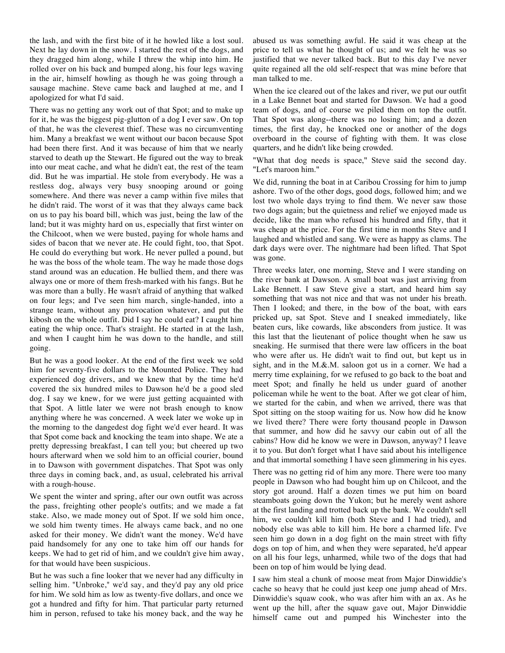the lash, and with the first bite of it he howled like a lost soul. Next he lay down in the snow. I started the rest of the dogs, and they dragged him along, while I threw the whip into him. He rolled over on his back and bumped along, his four legs waving in the air, himself howling as though he was going through a sausage machine. Steve came back and laughed at me, and I apologized for what I'd said.

There was no getting any work out of that Spot; and to make up for it, he was the biggest pig-glutton of a dog I ever saw. On top of that, he was the cleverest thief. These was no circumventing him. Many a breakfast we went without our bacon because Spot had been there first. And it was because of him that we nearly starved to death up the Stewart. He figured out the way to break into our meat cache, and what he didn't eat, the rest of the team did. But he was impartial. He stole from everybody. He was a restless dog, always very busy snooping around or going somewhere. And there was never a camp within five miles that he didn't raid. The worst of it was that they always came back on us to pay his board bill, which was just, being the law of the land; but it was mighty hard on us, especially that first winter on the Chilcoot, when we were busted, paying for whole hams and sides of bacon that we never ate. He could fight, too, that Spot. He could do everything but work. He never pulled a pound, but he was the boss of the whole team. The way he made those dogs stand around was an education. He bullied them, and there was always one or more of them fresh-marked with his fangs. But he was more than a bully. He wasn't afraid of anything that walked on four legs; and I've seen him march, single-handed, into a strange team, without any provocation whatever, and put the kibosh on the whole outfit. Did I say he could eat? I caught him eating the whip once. That's straight. He started in at the lash, and when I caught him he was down to the handle, and still going.

But he was a good looker. At the end of the first week we sold him for seventy-five dollars to the Mounted Police. They had experienced dog drivers, and we knew that by the time he'd covered the six hundred miles to Dawson he'd be a good sled dog. I say we knew, for we were just getting acquainted with that Spot. A little later we were not brash enough to know anything where he was concerned. A week later we woke up in the morning to the dangedest dog fight we'd ever heard. It was that Spot come back and knocking the team into shape. We ate a pretty depressing breakfast, I can tell you; but cheered up two hours afterward when we sold him to an official courier, bound in to Dawson with government dispatches. That Spot was only three days in coming back, and, as usual, celebrated his arrival with a rough-house.

We spent the winter and spring, after our own outfit was across the pass, freighting other people's outfits; and we made a fat stake. Also, we made money out of Spot. If we sold him once, we sold him twenty times. He always came back, and no one asked for their money. We didn't want the money. We'd have paid handsomely for any one to take him off our hands for keeps. We had to get rid of him, and we couldn't give him away, for that would have been suspicious.

But he was such a fine looker that we never had any difficulty in selling him. "Unbroke," we'd say, and they'd pay any old price for him. We sold him as low as twenty-five dollars, and once we got a hundred and fifty for him. That particular party returned him in person, refused to take his money back, and the way he

abused us was something awful. He said it was cheap at the price to tell us what he thought of us; and we felt he was so justified that we never talked back. But to this day I've never quite regained all the old self-respect that was mine before that man talked to me.

When the ice cleared out of the lakes and river, we put our outfit in a Lake Bennet boat and started for Dawson. We had a good team of dogs, and of course we piled them on top the outfit. That Spot was along--there was no losing him; and a dozen times, the first day, he knocked one or another of the dogs overboard in the course of fighting with them. It was close quarters, and he didn't like being crowded.

"What that dog needs is space," Steve said the second day. "Let's maroon him."

We did, running the boat in at Caribou Crossing for him to jump ashore. Two of the other dogs, good dogs, followed him; and we lost two whole days trying to find them. We never saw those two dogs again; but the quietness and relief we enjoyed made us decide, like the man who refused his hundred and fifty, that it was cheap at the price. For the first time in months Steve and I laughed and whistled and sang. We were as happy as clams. The dark days were over. The nightmare had been lifted. That Spot was gone.

Three weeks later, one morning, Steve and I were standing on the river bank at Dawson. A small boat was just arriving from Lake Bennett. I saw Steve give a start, and heard him say something that was not nice and that was not under his breath. Then I looked; and there, in the bow of the boat, with ears pricked up, sat Spot. Steve and I sneaked immediately, like beaten curs, like cowards, like absconders from justice. It was this last that the lieutenant of police thought when he saw us sneaking. He surmised that there were law officers in the boat who were after us. He didn't wait to find out, but kept us in sight, and in the M.&.M. saloon got us in a corner. We had a merry time explaining, for we refused to go back to the boat and meet Spot; and finally he held us under guard of another policeman while he went to the boat. After we got clear of him, we started for the cabin, and when we arrived, there was that Spot sitting on the stoop waiting for us. Now how did he know we lived there? There were forty thousand people in Dawson that summer, and how did he savvy our cabin out of all the cabins? How did he know we were in Dawson, anyway? I leave it to you. But don't forget what I have said about his intelligence and that immortal something I have seen glimmering in his eyes.

There was no getting rid of him any more. There were too many people in Dawson who had bought him up on Chilcoot, and the story got around. Half a dozen times we put him on board steamboats going down the Yukon; but he merely went ashore at the first landing and trotted back up the bank. We couldn't sell him, we couldn't kill him (both Steve and I had tried), and nobody else was able to kill him. He bore a charmed life. I've seen him go down in a dog fight on the main street with fifty dogs on top of him, and when they were separated, he'd appear on all his four legs, unharmed, while two of the dogs that had been on top of him would be lying dead.

I saw him steal a chunk of moose meat from Major Dinwiddie's cache so heavy that he could just keep one jump ahead of Mrs. Dinwiddie's squaw cook, who was after him with an ax. As he went up the hill, after the squaw gave out, Major Dinwiddie himself came out and pumped his Winchester into the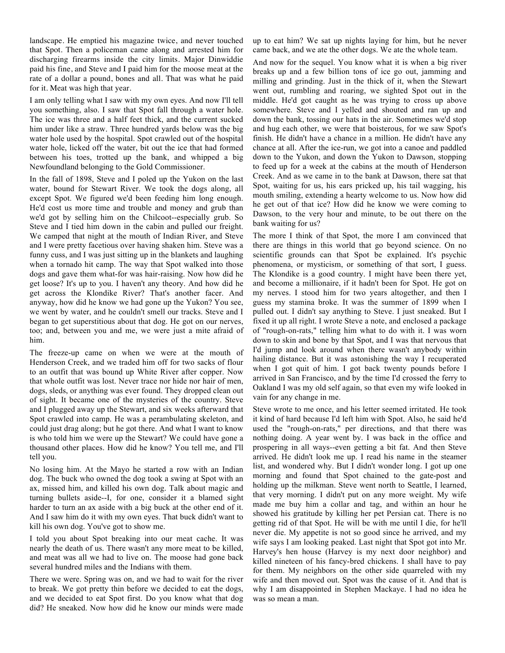landscape. He emptied his magazine twice, and never touched that Spot. Then a policeman came along and arrested him for discharging firearms inside the city limits. Major Dinwiddie paid his fine, and Steve and I paid him for the moose meat at the rate of a dollar a pound, bones and all. That was what he paid for it. Meat was high that year.

I am only telling what I saw with my own eyes. And now I'll tell you something, also. I saw that Spot fall through a water hole. The ice was three and a half feet thick, and the current sucked him under like a straw. Three hundred yards below was the big water hole used by the hospital. Spot crawled out of the hospital water hole, licked off the water, bit out the ice that had formed between his toes, trotted up the bank, and whipped a big Newfoundland belonging to the Gold Commissioner.

In the fall of 1898, Steve and I poled up the Yukon on the last water, bound for Stewart River. We took the dogs along, all except Spot. We figured we'd been feeding him long enough. He'd cost us more time and trouble and money and grub than we'd got by selling him on the Chilcoot--especially grub. So Steve and I tied him down in the cabin and pulled our freight. We camped that night at the mouth of Indian River, and Steve and I were pretty facetious over having shaken him. Steve was a funny cuss, and I was just sitting up in the blankets and laughing when a tornado hit camp. The way that Spot walked into those dogs and gave them what-for was hair-raising. Now how did he get loose? It's up to you. I haven't any theory. And how did he get across the Klondike River? That's another facer. And anyway, how did he know we had gone up the Yukon? You see, we went by water, and he couldn't smell our tracks. Steve and I began to get superstitious about that dog. He got on our nerves, too; and, between you and me, we were just a mite afraid of him.

The freeze-up came on when we were at the mouth of Henderson Creek, and we traded him off for two sacks of flour to an outfit that was bound up White River after copper. Now that whole outfit was lost. Never trace nor hide nor hair of men, dogs, sleds, or anything was ever found. They dropped clean out of sight. It became one of the mysteries of the country. Steve and I plugged away up the Stewart, and six weeks afterward that Spot crawled into camp. He was a perambulating skeleton, and could just drag along; but he got there. And what I want to know is who told him we were up the Stewart? We could have gone a thousand other places. How did he know? You tell me, and I'll tell you.

No losing him. At the Mayo he started a row with an Indian dog. The buck who owned the dog took a swing at Spot with an ax, missed him, and killed his own dog. Talk about magic and turning bullets aside--I, for one, consider it a blamed sight harder to turn an ax aside with a big buck at the other end of it. And I saw him do it with my own eyes. That buck didn't want to kill his own dog. You've got to show me.

I told you about Spot breaking into our meat cache. It was nearly the death of us. There wasn't any more meat to be killed, and meat was all we had to live on. The moose had gone back several hundred miles and the Indians with them.

There we were. Spring was on, and we had to wait for the river to break. We got pretty thin before we decided to eat the dogs, and we decided to eat Spot first. Do you know what that dog did? He sneaked. Now how did he know our minds were made up to eat him? We sat up nights laying for him, but he never came back, and we ate the other dogs. We ate the whole team.

And now for the sequel. You know what it is when a big river breaks up and a few billion tons of ice go out, jamming and milling and grinding. Just in the thick of it, when the Stewart went out, rumbling and roaring, we sighted Spot out in the middle. He'd got caught as he was trying to cross up above somewhere. Steve and I yelled and shouted and ran up and down the bank, tossing our hats in the air. Sometimes we'd stop and hug each other, we were that boisterous, for we saw Spot's finish. He didn't have a chance in a million. He didn't have any chance at all. After the ice-run, we got into a canoe and paddled down to the Yukon, and down the Yukon to Dawson, stopping to feed up for a week at the cabins at the mouth of Henderson Creek. And as we came in to the bank at Dawson, there sat that Spot, waiting for us, his ears pricked up, his tail wagging, his mouth smiling, extending a hearty welcome to us. Now how did he get out of that ice? How did he know we were coming to Dawson, to the very hour and minute, to be out there on the bank waiting for us?

The more I think of that Spot, the more I am convinced that there are things in this world that go beyond science. On no scientific grounds can that Spot be explained. It's psychic phenomena, or mysticism, or something of that sort, I guess. The Klondike is a good country. I might have been there yet, and become a millionaire, if it hadn't been for Spot. He got on my nerves. I stood him for two years altogether, and then I guess my stamina broke. It was the summer of 1899 when I pulled out. I didn't say anything to Steve. I just sneaked. But I fixed it up all right. I wrote Steve a note, and enclosed a package of "rough-on-rats," telling him what to do with it. I was worn down to skin and bone by that Spot, and I was that nervous that I'd jump and look around when there wasn't anybody within hailing distance. But it was astonishing the way I recuperated when I got quit of him. I got back twenty pounds before I arrived in San Francisco, and by the time I'd crossed the ferry to Oakland I was my old self again, so that even my wife looked in vain for any change in me.

Steve wrote to me once, and his letter seemed irritated. He took it kind of hard because I'd left him with Spot. Also, he said he'd used the "rough-on-rats," per directions, and that there was nothing doing. A year went by. I was back in the office and prospering in all ways--even getting a bit fat. And then Steve arrived. He didn't look me up. I read his name in the steamer list, and wondered why. But I didn't wonder long. I got up one morning and found that Spot chained to the gate-post and holding up the milkman. Steve went north to Seattle, I learned, that very morning. I didn't put on any more weight. My wife made me buy him a collar and tag, and within an hour he showed his gratitude by killing her pet Persian cat. There is no getting rid of that Spot. He will be with me until I die, for he'll never die. My appetite is not so good since he arrived, and my wife says I am looking peaked. Last night that Spot got into Mr. Harvey's hen house (Harvey is my next door neighbor) and killed nineteen of his fancy-bred chickens. I shall have to pay for them. My neighbors on the other side quarreled with my wife and then moved out. Spot was the cause of it. And that is why I am disappointed in Stephen Mackaye. I had no idea he was so mean a man.